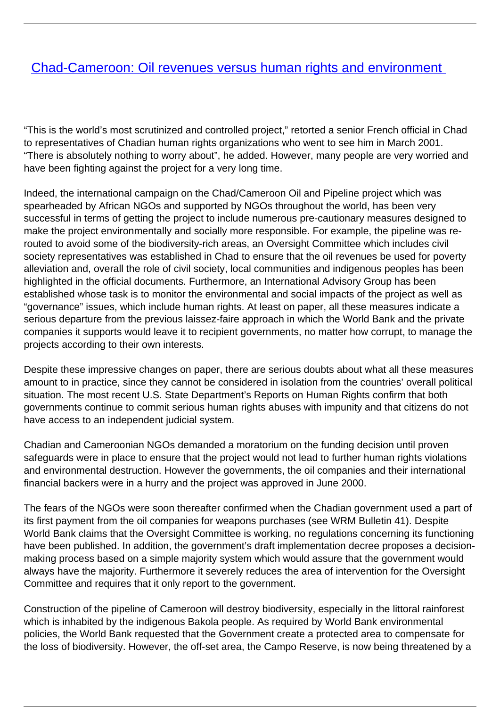## **[Chad-Cameroon: Oil revenues versus human rights and environment](/bulletin-articles/chad-cameroon-oil-revenues-versus-human-rights-and-environment)**

"This is the world's most scrutinized and controlled project," retorted a senior French official in Chad to representatives of Chadian human rights organizations who went to see him in March 2001. "There is absolutely nothing to worry about", he added. However, many people are very worried and have been fighting against the project for a very long time.

Indeed, the international campaign on the Chad/Cameroon Oil and Pipeline project which was spearheaded by African NGOs and supported by NGOs throughout the world, has been very successful in terms of getting the project to include numerous pre-cautionary measures designed to make the project environmentally and socially more responsible. For example, the pipeline was rerouted to avoid some of the biodiversity-rich areas, an Oversight Committee which includes civil society representatives was established in Chad to ensure that the oil revenues be used for poverty alleviation and, overall the role of civil society, local communities and indigenous peoples has been highlighted in the official documents. Furthermore, an International Advisory Group has been established whose task is to monitor the environmental and social impacts of the project as well as "governance" issues, which include human rights. At least on paper, all these measures indicate a serious departure from the previous laissez-faire approach in which the World Bank and the private companies it supports would leave it to recipient governments, no matter how corrupt, to manage the projects according to their own interests.

Despite these impressive changes on paper, there are serious doubts about what all these measures amount to in practice, since they cannot be considered in isolation from the countries' overall political situation. The most recent U.S. State Department's Reports on Human Rights confirm that both governments continue to commit serious human rights abuses with impunity and that citizens do not have access to an independent judicial system.

Chadian and Cameroonian NGOs demanded a moratorium on the funding decision until proven safeguards were in place to ensure that the project would not lead to further human rights violations and environmental destruction. However the governments, the oil companies and their international financial backers were in a hurry and the project was approved in June 2000.

The fears of the NGOs were soon thereafter confirmed when the Chadian government used a part of its first payment from the oil companies for weapons purchases (see WRM Bulletin 41). Despite World Bank claims that the Oversight Committee is working, no regulations concerning its functioning have been published. In addition, the government's draft implementation decree proposes a decisionmaking process based on a simple majority system which would assure that the government would always have the majority. Furthermore it severely reduces the area of intervention for the Oversight Committee and requires that it only report to the government.

Construction of the pipeline of Cameroon will destroy biodiversity, especially in the littoral rainforest which is inhabited by the indigenous Bakola people. As required by World Bank environmental policies, the World Bank requested that the Government create a protected area to compensate for the loss of biodiversity. However, the off-set area, the Campo Reserve, is now being threatened by a